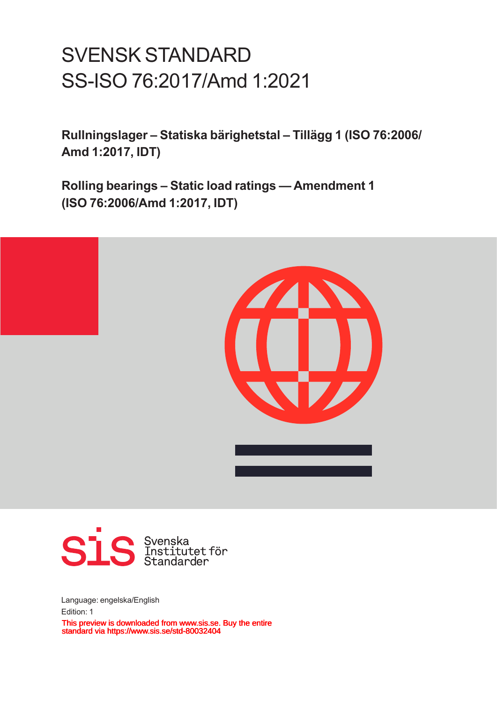# SVENSK STANDARD SS-ISO 76:2017/Amd 1:2021

**Rullningslager – Statiska bärighetstal – Tillägg 1 (ISO 76:2006/ Amd 1:2017, IDT)**

**Rolling bearings – Static load ratings — Amendment 1 (ISO 76:2006/Amd 1:2017, IDT)**





Language: engelska/English Edition: 1 This preview is downloaded from www.sis.se. Buy the entire standard via https://www.sis.se/std-80032404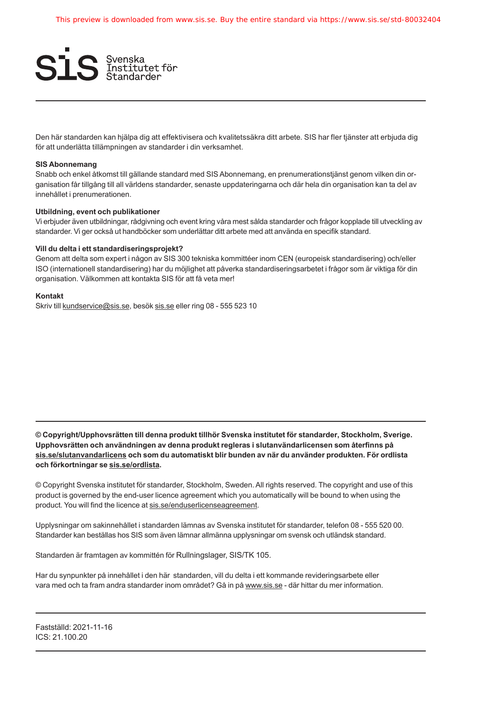

Den här standarden kan hjälpa dig att effektivisera och kvalitetssäkra ditt arbete. SIS har fler tjänster att erbjuda dig för att underlätta tillämpningen av standarder i din verksamhet.

### **SIS Abonnemang**

Snabb och enkel åtkomst till gällande standard med SIS Abonnemang, en prenumerationstjänst genom vilken din organisation får tillgång till all världens standarder, senaste uppdateringarna och där hela din organisation kan ta del av innehållet i prenumerationen.

### **Utbildning, event och publikationer**

Vi erbjuder även utbildningar, rådgivning och event kring våra mest sålda standarder och frågor kopplade till utveckling av standarder. Vi ger också ut handböcker som underlättar ditt arbete med att använda en specifik standard.

#### **Vill du delta i ett standardiseringsprojekt?**

Genom att delta som expert i någon av SIS 300 tekniska kommittéer inom CEN (europeisk standardisering) och/eller ISO (internationell standardisering) har du möjlighet att påverka standardiseringsarbetet i frågor som är viktiga för din organisation. Välkommen att kontakta SIS för att få veta mer!

### **Kontakt**

Skriv till kundservice@sis.se, besök sis.se eller ring 08 - 555 523 10

**© Copyright/Upphovsrätten till denna produkt tillhör Svenska institutet för standarder, Stockholm, Sverige. Upphovsrätten och användningen av denna produkt regleras i slutanvändarlicensen som återfinns på sis.se/slutanvandarlicens och som du automatiskt blir bunden av när du använder produkten. För ordlista och förkortningar se sis.se/ordlista.**

© Copyright Svenska institutet för standarder, Stockholm, Sweden. All rights reserved. The copyright and use of this product is governed by the end-user licence agreement which you automatically will be bound to when using the product. You will find the licence at sis.se/enduserlicenseagreement.

Upplysningar om sakinnehållet i standarden lämnas av Svenska institutet för standarder, telefon 08 - 555 520 00. Standarder kan beställas hos SIS som även lämnar allmänna upplysningar om svensk och utländsk standard.

Standarden är framtagen av kommittén för Rullningslager, SIS/TK 105.

Har du synpunkter på innehållet i den här standarden, vill du delta i ett kommande revideringsarbete eller vara med och ta fram andra standarder inom området? Gå in på www.sis.se - där hittar du mer information.

Fastställd: 2021-11-16 ICS: 21.100.20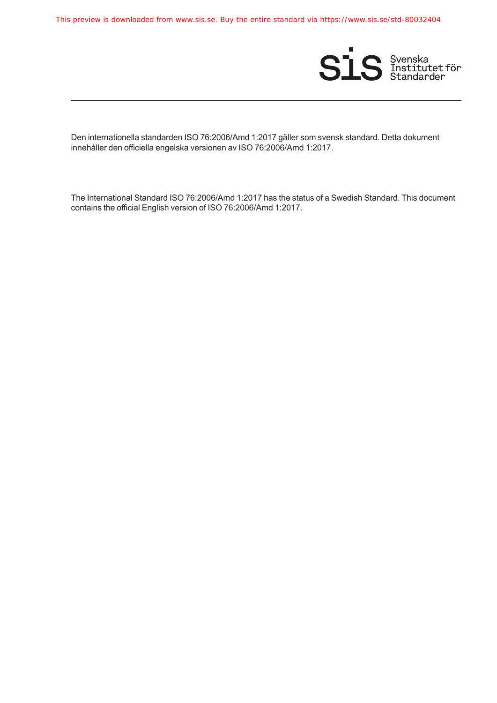This preview is downloaded from www.sis.se. Buy the entire standard via https://www.sis.se/std-80032404



Den internationella standarden ISO 76:2006/Amd 1:2017 gäller som svensk standard. Detta dokument innehåller den officiella engelska versionen av ISO 76:2006/Amd 1:2017.

The International Standard ISO 76:2006/Amd 1:2017 has the status of a Swedish Standard. This document contains the official English version of ISO 76:2006/Amd 1:2017.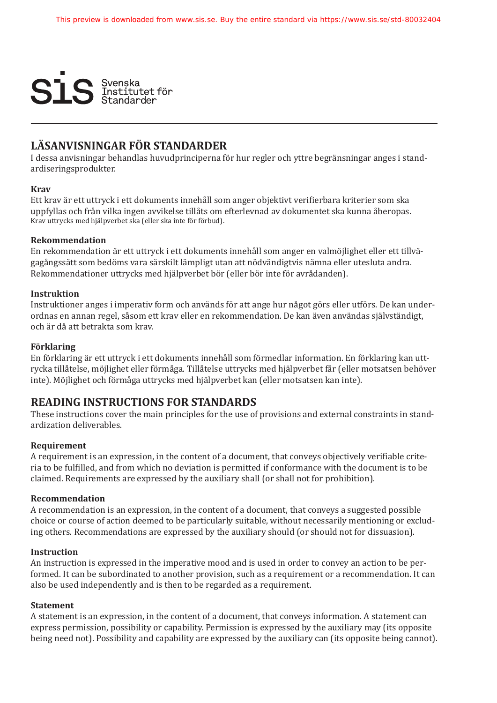

### **LÄSANVISNINGAR FÖR STANDARDER**

I dessa anvisningar behandlas huvudprinciperna för hur regler och yttre begränsningar anges i standardiseringsprodukter.

### **Krav**

Ett krav är ett uttryck i ett dokuments innehåll som anger objektivt verifierbara kriterier som ska uppfyllas och från vilka ingen avvikelse tillåts om efterlevnad av dokumentet ska kunna åberopas. Krav uttrycks med hjälpverbet ska (eller ska inte för förbud).

### **Rekommendation**

En rekommendation är ett uttryck i ett dokuments innehåll som anger en valmöjlighet eller ett tillvägagångssätt som bedöms vara särskilt lämpligt utan att nödvändigtvis nämna eller utesluta andra. Rekommendationer uttrycks med hjälpverbet bör (eller bör inte för avrådanden).

### **Instruktion**

Instruktioner anges i imperativ form och används för att ange hur något görs eller utförs. De kan underordnas en annan regel, såsom ett krav eller en rekommendation. De kan även användas självständigt, och är då att betrakta som krav.

### **Förklaring**

En förklaring är ett uttryck i ett dokuments innehåll som förmedlar information. En förklaring kan uttrycka tillåtelse, möjlighet eller förmåga. Tillåtelse uttrycks med hjälpverbet får (eller motsatsen behöver inte). Möjlighet och förmåga uttrycks med hjälpverbet kan (eller motsatsen kan inte).

### **READING INSTRUCTIONS FOR STANDARDS**

These instructions cover the main principles for the use of provisions and external constraints in standardization deliverables.

### **Requirement**

A requirement is an expression, in the content of a document, that conveys objectively verifiable criteria to be fulfilled, and from which no deviation is permitted if conformance with the document is to be claimed. Requirements are expressed by the auxiliary shall (or shall not for prohibition).

### **Recommendation**

A recommendation is an expression, in the content of a document, that conveys a suggested possible choice or course of action deemed to be particularly suitable, without necessarily mentioning or excluding others. Recommendations are expressed by the auxiliary should (or should not for dissuasion).

### **Instruction**

An instruction is expressed in the imperative mood and is used in order to convey an action to be performed. It can be subordinated to another provision, such as a requirement or a recommendation. It can also be used independently and is then to be regarded as a requirement.

### **Statement**

A statement is an expression, in the content of a document, that conveys information. A statement can express permission, possibility or capability. Permission is expressed by the auxiliary may (its opposite being need not). Possibility and capability are expressed by the auxiliary can (its opposite being cannot).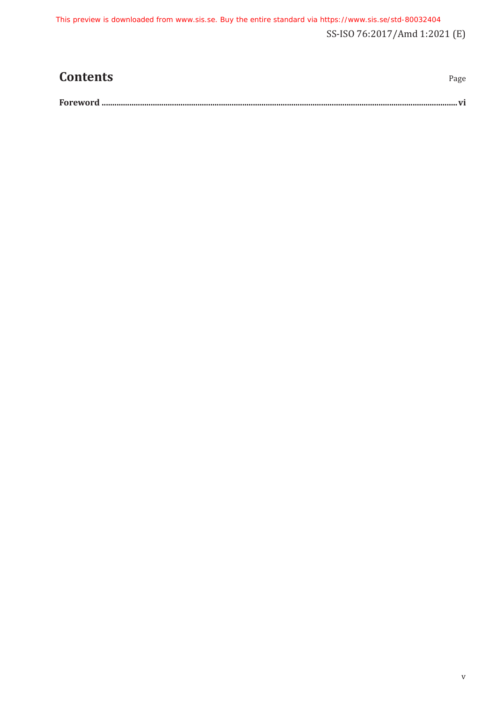SS-ISO 76:2017/Amd 1:2021 (E) This preview is downloaded from www.sis.se. Buy the entire standard via https://www.sis.se/std-80032404

| <b>Contents</b> | Page |
|-----------------|------|
|                 |      |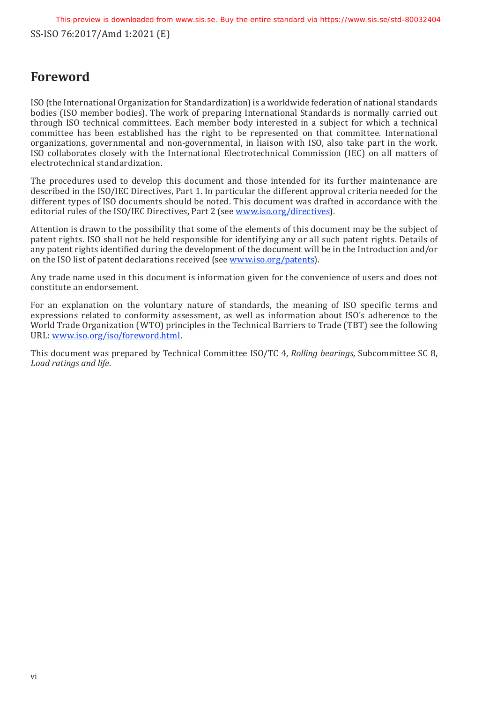## <span id="page-5-0"></span>**Foreword**

ISO (the International Organization for Standardization) is a worldwide federation of national standards bodies (ISO member bodies). The work of preparing International Standards is normally carried out through ISO technical committees. Each member body interested in a subject for which a technical committee has been established has the right to be represented on that committee. International organizations, governmental and non-governmental, in liaison with ISO, also take part in the work. ISO collaborates closely with the International Electrotechnical Commission (IEC) on all matters of electrotechnical standardization.

The procedures used to develop this document and those intended for its further maintenance are described in the ISO/IEC Directives, Part 1. In particular the different approval criteria needed for the different types of ISO documents should be noted. This document was drafted in accordance with the editorial rules of the ISO/IEC Directives, Part 2 (see [www.iso.org/directives\)](http://www.iso.org/directives).

Attention is drawn to the possibility that some of the elements of this document may be the subject of patent rights. ISO shall not be held responsible for identifying any or all such patent rights. Details of any patent rights identified during the development of the document will be in the Introduction and/or on the ISO list of patent declarations received (see [www.iso.org/patents](http://www.iso.org/patents)).

Any trade name used in this document is information given for the convenience of users and does not constitute an endorsement.

For an explanation on the voluntary nature of standards, the meaning of ISO specific terms and expressions related to conformity assessment, as well as information about ISO's adherence to the World Trade Organization (WTO) principles in the Technical Barriers to Trade (TBT) see the following URL: [www.iso.org/iso/foreword.html](http://www.iso.org/iso/foreword.html).

This document was prepared by Technical Committee ISO/TC 4, *Rolling bearings*, Subcommittee SC 8, *Load ratings and life*.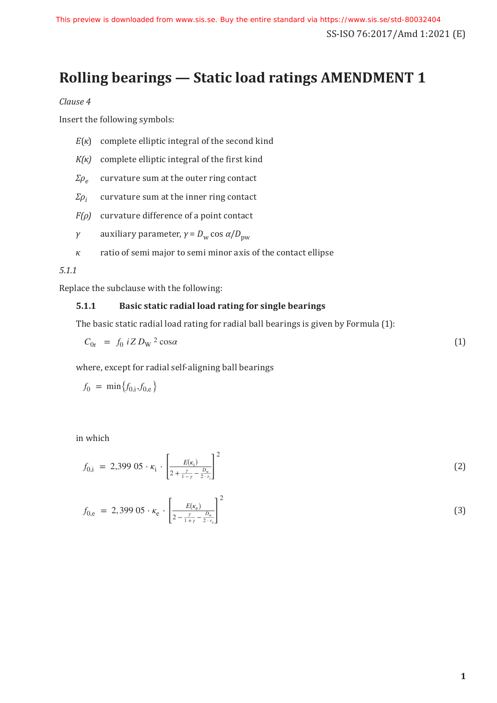# **Rolling bearings — Static load ratings AMENDMENT 1**

*Clause 4*

Insert the following symbols:

*E*(*κ*) complete elliptic integral of the second kind

*K(κ)* complete elliptic integral of the first kind

 $\Sigma \rho_e$  curvature sum at the outer ring contact

 $\Sigma \rho_i$  curvature sum at the inner ring contact

*F(ρ)* curvature difference of a point contact

$$
γ
$$
 auxiliary parameter,  $γ = Dw cos α/Dpw$ 

*κ* ratio of semi major to semi minor axis of the contact ellipse

### *5.1.1*

Replace the subclause with the following:

### **5.1.1 Basic static radial load rating for single bearings**

The basic static radial load rating for radial ball bearings is given by Formula (1):

$$
C_{0r} = f_0 i Z D_W^2 \cos \alpha \tag{1}
$$

where, except for radial self-aligning ball bearings

$$
f_0 = \min\{f_{0,i}, f_{0,e}\}
$$

in which

in which  

$$
f_{0,i} = 2,399 \ 05 \cdot \kappa_i \cdot \left[ \frac{E(\kappa_i)}{2 + \frac{\gamma}{1 - \gamma} - \frac{D_w}{2 \cdot r_i}} \right]^2
$$
 (2)

$$
f_{0,i} = 2,399\ 05 \cdot \kappa_{i} \cdot \left[ \frac{E(\kappa_{i})}{2 + \frac{\gamma}{1 - \gamma} - \frac{D_{w}}{2 \cdot \kappa_{i}}}\right]^{2}
$$
\n
$$
f_{0,e} = 2,399\ 05 \cdot \kappa_{e} \cdot \left[ \frac{E(\kappa_{e})}{2 - \frac{\gamma}{1 + \gamma} - \frac{D_{w}}{2 \cdot \kappa_{e}}}\right]^{2}
$$
\n(3)